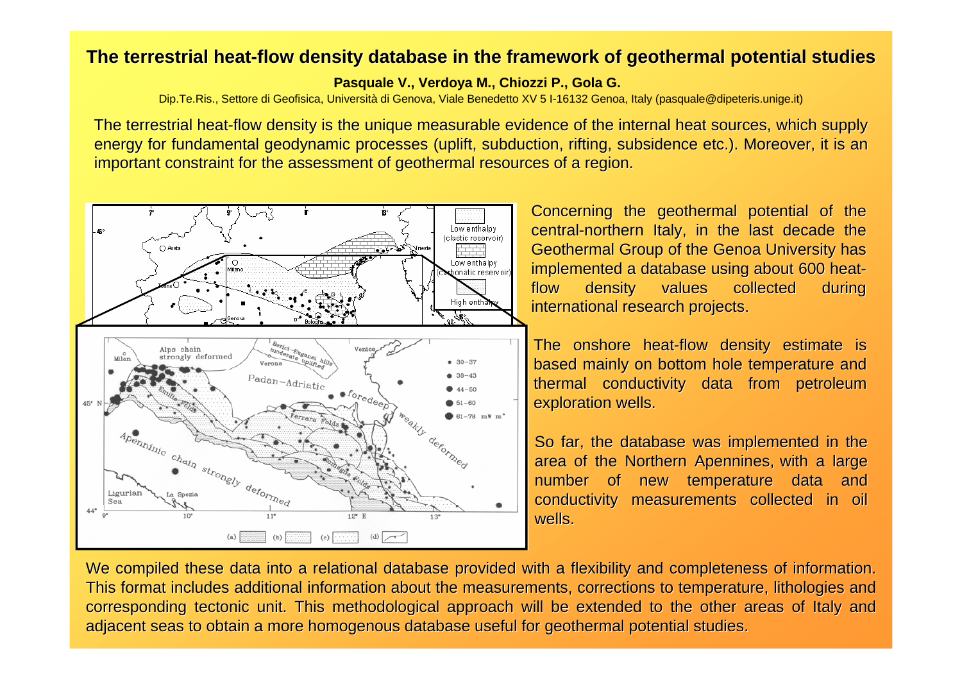## **The terrestrial heat-flow density database in the framework of geothermal potential studies**

**Pasquale V., Verdoya M., Chiozzi P., Gola G.**

Dip.Te.Ris., Settore di Geofisica, Università di Genova, Viale Benedetto XV 5 I-16132 Genoa, Italy (pasquale@dipeteris.unige.it)

The terrestrial heat-flow density is the unique measurable evidence of the internal heat sources, which supply energy for fundamental geodynamic processes (uplift, subduction, rifting, subsidence etc.). Moreover, it is an important constraint for the assessment of geothermal resources of a region.



We compiled these data into a relational database provided with a flexibility and completeness of information. This format includes additional information about the measurements, corrections to temperature, lithologies and corresponding tectonic unit. This methodological approach will be extended to the other areas of Italy and adjacent seas to obtain a more homogenous database useful for geothermal potential studies.